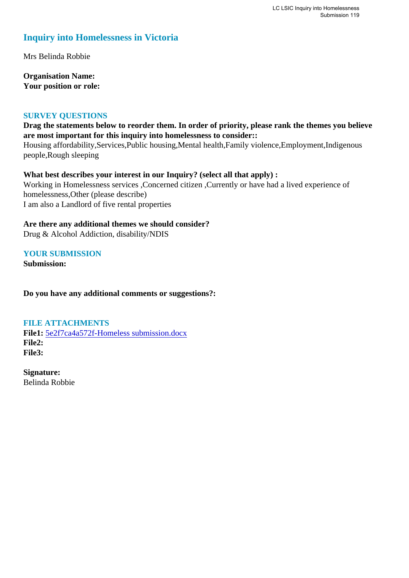# **Inquiry into Homelessness in Victoria**

Mrs Belinda Robbie

**Organisation Name: Your position or role:** 

#### **SURVEY QUESTIONS**

## **Drag the statements below to reorder them. In order of priority, please rank the themes you believe are most important for this inquiry into homelessness to consider::**

Housing affordability,Services,Public housing,Mental health,Family violence,Employment,Indigenous people,Rough sleeping

**What best describes your interest in our Inquiry? (select all that apply) :**  Working in Homelessness services ,Concerned citizen ,Currently or have had a lived experience of homelessness,Other (please describe)

I am also a Landlord of five rental properties

## **Are there any additional themes we should consider?**

Drug & Alcohol Addiction, disability/NDIS

## **YOUR SUBMISSION**

**Submission:** 

**Do you have any additional comments or suggestions?:** 

## **FILE ATTACHMENTS**

**File1:** [5e2f7ca4a572f-Homeless submission.docx](https://www.parliament.vic.gov.au/component/rsform/submission-view-file/bb3a8c2decc0035a95f2b63906fce83c/4e07b9864007de9d6fb5528760e97546?Itemid=527) **File2: File3:** 

**Signature:** Belinda Robbie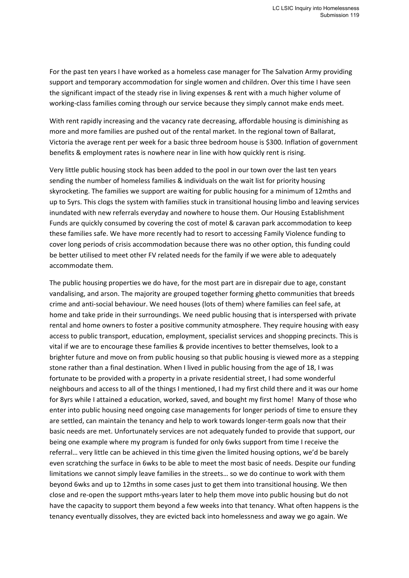For the past ten years I have worked as a homeless case manager for The Salvation Army providing support and temporary accommodation for single women and children. Over this time I have seen the significant impact of the steady rise in living expenses & rent with a much higher volume of working‐class families coming through our service because they simply cannot make ends meet.

With rent rapidly increasing and the vacancy rate decreasing, affordable housing is diminishing as more and more families are pushed out of the rental market. In the regional town of Ballarat, Victoria the average rent per week for a basic three bedroom house is \$300. Inflation of government benefits & employment rates is nowhere near in line with how quickly rent is rising.

Very little public housing stock has been added to the pool in our town over the last ten years sending the number of homeless families & individuals on the wait list for priority housing skyrocketing. The families we support are waiting for public housing for a minimum of 12mths and up to 5yrs. This clogs the system with families stuck in transitional housing limbo and leaving services inundated with new referrals everyday and nowhere to house them. Our Housing Establishment Funds are quickly consumed by covering the cost of motel & caravan park accommodation to keep these families safe. We have more recently had to resort to accessing Family Violence funding to cover long periods of crisis accommodation because there was no other option, this funding could be better utilised to meet other FV related needs for the family if we were able to adequately accommodate them.

The public housing properties we do have, for the most part are in disrepair due to age, constant vandalising, and arson. The majority are grouped together forming ghetto communities that breeds crime and anti‐social behaviour. We need houses (lots of them) where families can feel safe, at home and take pride in their surroundings. We need public housing that is interspersed with private rental and home owners to foster a positive community atmosphere. They require housing with easy access to public transport, education, employment, specialist services and shopping precincts. This is vital if we are to encourage these families & provide incentives to better themselves, look to a brighter future and move on from public housing so that public housing is viewed more as a stepping stone rather than a final destination. When I lived in public housing from the age of 18, I was fortunate to be provided with a property in a private residential street, I had some wonderful neighbours and access to all of the things I mentioned, I had my first child there and it was our home for 8yrs while I attained a education, worked, saved, and bought my first home! Many of those who enter into public housing need ongoing case managements for longer periods of time to ensure they are settled, can maintain the tenancy and help to work towards longer-term goals now that their basic needs are met. Unfortunately services are not adequately funded to provide that support, our being one example where my program is funded for only 6wks support from time I receive the referral… very little can be achieved in this time given the limited housing options, we'd be barely even scratching the surface in 6wks to be able to meet the most basic of needs. Despite our funding limitations we cannot simply leave families in the streets… so we do continue to work with them beyond 6wks and up to 12mths in some cases just to get them into transitional housing. We then close and re‐open the support mths‐years later to help them move into public housing but do not have the capacity to support them beyond a few weeks into that tenancy. What often happens is the tenancy eventually dissolves, they are evicted back into homelessness and away we go again. We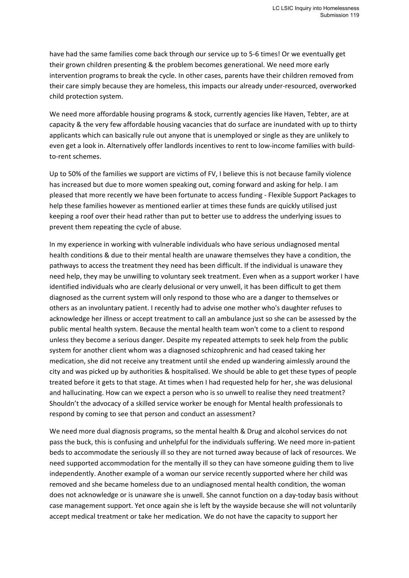have had the same families come back through our service up to 5-6 times! Or we eventually get their grown children presenting & the problem becomes generational. We need more early intervention programs to break the cycle. In other cases, parents have their children removed from their care simply because they are homeless, this impacts our already under‐resourced, overworked child protection system.

We need more affordable housing programs & stock, currently agencies like Haven, Tebter, are at capacity & the very few affordable housing vacancies that do surface are inundated with up to thirty applicants which can basically rule out anyone that is unemployed or single as they are unlikely to even get a look in. Alternatively offer landlords incentives to rent to low-income families with buildto‐rent schemes.

Up to 50% of the families we support are victims of FV, I believe this is not because family violence has increased but due to more women speaking out, coming forward and asking for help. I am pleased that more recently we have been fortunate to access funding ‐ Flexible Support Packages to help these families however as mentioned earlier at times these funds are quickly utilised just keeping a roof over their head rather than put to better use to address the underlying issues to prevent them repeating the cycle of abuse.

In my experience in working with vulnerable individuals who have serious undiagnosed mental health conditions & due to their mental health are unaware themselves they have a condition, the pathways to access the treatment they need has been difficult. If the individual is unaware they need help, they may be unwilling to voluntary seek treatment. Even when as a support worker I have identified individuals who are clearly delusional or very unwell, it has been difficult to get them diagnosed as the current system will only respond to those who are a danger to themselves or others as an involuntary patient. I recently had to advise one mother who's daughter refuses to acknowledge her illness or accept treatment to call an ambulance just so she can be assessed by the public mental health system. Because the mental health team won't come to a client to respond unless they become a serious danger. Despite my repeated attempts to seek help from the public system for another client whom was a diagnosed schizophrenic and had ceased taking her medication, she did not receive any treatment until she ended up wandering aimlessly around the city and was picked up by authorities & hospitalised. We should be able to get these types of people treated before it gets to that stage. At times when I had requested help for her, she was delusional and hallucinating. How can we expect a person who is so unwell to realise they need treatment? Shouldn't the advocacy of a skilled service worker be enough for Mental health professionals to respond by coming to see that person and conduct an assessment?

We need more dual diagnosis programs, so the mental health & Drug and alcohol services do not pass the buck, this is confusing and unhelpful for the individuals suffering. We need more in‐patient beds to accommodate the seriously ill so they are not turned away because of lack of resources. We need supported accommodation for the mentally ill so they can have someone guiding them to live independently. Another example of a woman our service recently supported where her child was removed and she became homeless due to an undiagnosed mental health condition, the woman does not acknowledge or is unaware she is unwell. She cannot function on a day‐today basis without case management support. Yet once again she is left by the wayside because she will not voluntarily accept medical treatment or take her medication. We do not have the capacity to support her